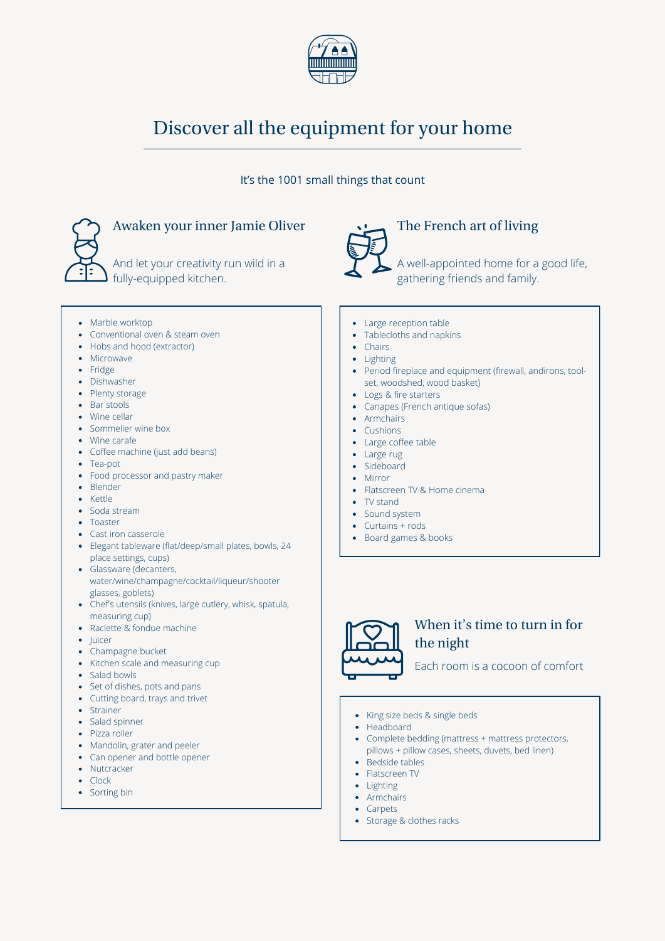

# Discover all the equipment for your home

#### It's the 1001 small things that count



• Marble worktop

• Microwave • Fridge • Dishwasher • Plenty storage • Bar stools • Wine cellar • Sommelier wine box • Wine carafe

Tea-pot

• Blender • Kettle • Soda stream • Toaster

• Cast iron casserole

glasses, goblets)

measuring cup) • Raclette & fondue machine

• Champagne bucket

place settings, cups) Glassware (decanters,

Conventional oven & steam oven • Hobs and hood (extractor)

• Coffee machine (just add beans)

• Food processor and pastry maker

Elegant tableware (flat/deep/small plates, bowls, 24

water/wine/champagne/cocktail/liqueur/shooter

Chef's utensils (knives, large cutlery, whisk, spatula,

### Awaken your inner Jamie Oliver

And let your creativity run wild in a fully-equipped kitchen.



## The French art of living

A well-appointed home for a good life, gathering friends and family.

- Large reception table
- Tablecloths and napkins
- Chairs
- Lighting
- Period fireplace and equipment (firewall, andirons, toolset, woodshed, wood basket)
- Logs & fire starters
- Canapes (French antique sofas)
- Armchairs
- Cushions
- Large coffee table
- Large rug
- Sideboard
- Mirror
- Flatscreen TV & Home cinema
- TV stand
- Sound system
- Curtains + rods
- Board games & books



### When it's time to turn in for the night

Each room is a cocoon of comfort

- Salad bowls
- Set of dishes, pots and pans

• Kitchen scale and measuring cup

- Cutting board, trays and trivet
- Strainer

• Juicer

- Salad spinner
- Pizza roller
- Mandolin, grater and peeler
- Can opener and bottle opener
- Nutcracker
- Clock
- Sorting bin
- King size beds & single beds
- Headboard
- Complete bedding (mattress + mattress protectors, pillows + pillow cases, sheets, duvets, bed linen)
- Bedside tables
- Flatscreen TV
- Lighting
	- Armchairs Carpets
	- Storage & clothes racks